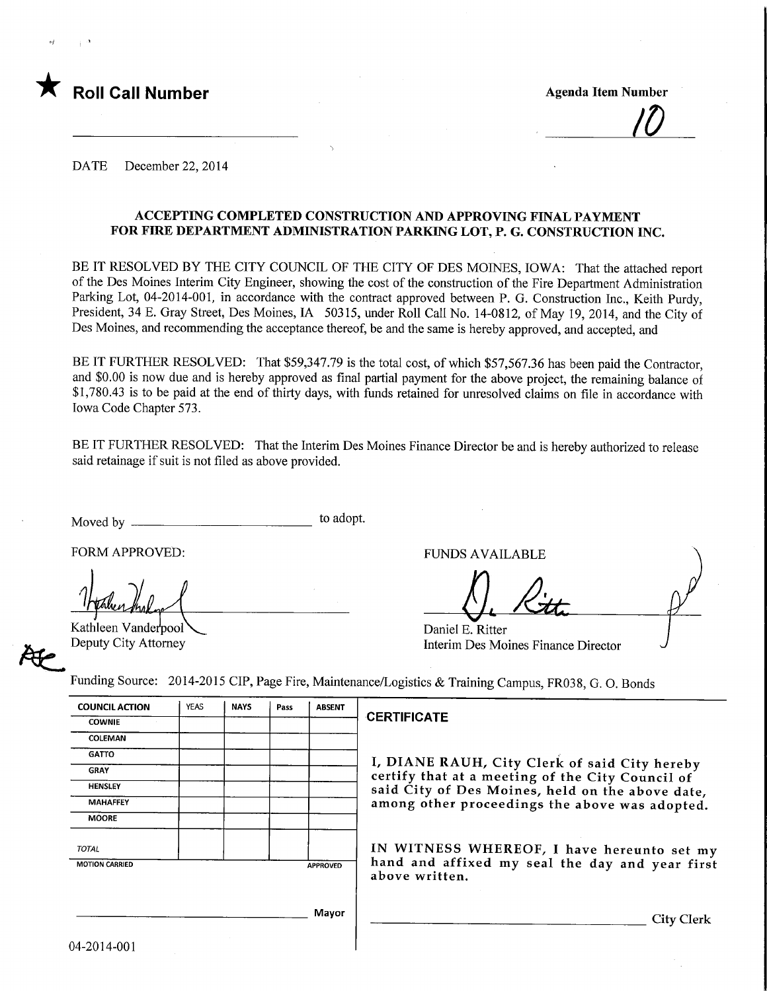

<u>|U\_</u>

DATE December 22, 2014

### ACCEPTING COMPLETED CONSTRUCTION AND APPROVING FINAL PAYMENT FOR FIRE DEPARTMENT ADMINISTRATION PARKING LOT, P. G. CONSTRUCTION INC.

BE IT RESOLVED BY THE CITY COUNCIL OF THE CITY OF DES MOINES, IOWA: That the attached report of the Des Moines Interim City Engineer, showing the cost of the construction of the Fire Department Administration Parking Lot, 04-2014-001, in accordance with the contract approved between P. G. Construction Inc., Keith Purdy, President, 34 E. Gray Street, Des Moines, IA 50315, under Roll Call No. 14-0812, of May 19, 2014, and the City of Des Moines, and recommending the acceptance thereof, be and the same is hereby approved, and accepted, and

BE IT FURTHER RESOLVED: That \$59,347.79 is the total cost, of which \$57,567.36 has been paid the Contractor, and \$0.00 is now due and is hereby approved as final partial payment for the above project, the remaining balance of \$1,780.43 is to be paid at the end of thirty days, with funds retained for unresolved claims on file in accordance with Iowa Code Chapter 573.

BE IT FURTHER RESOLVED: That the Interim Des Moines Finance Director be and is hereby authorized to release said retainage if suit is not filed as above provided.

Moved by to adopt.

FORM APPROVED:

Kathleen Vanderpool Deputy City Attorney

AC<br>C

FUNDS AVAILABLE

fl. A.

Daniel E. Ritter Interim Des Moines Finance Director

Funding Source: 2014-2015 CIP, Page Fire, Maintenance/Logistics & Training Campus, FR038, G. O. Bonds

| <b>COUNCIL ACTION</b> | YEAS | <b>NAYS</b> | Pass | <b>ABSENT</b>   |
|-----------------------|------|-------------|------|-----------------|
| <b>COWNIE</b>         |      |             |      |                 |
| <b>COLEMAN</b>        |      |             |      |                 |
| <b>GATTO</b>          |      |             |      |                 |
| <b>GRAY</b>           |      |             |      |                 |
| <b>HENSLEY</b>        |      |             |      |                 |
| <b>MAHAFFEY</b>       |      |             |      |                 |
| <b>MOORE</b>          |      |             |      |                 |
| <b>TOTAL</b>          |      |             |      |                 |
| <b>MOTION CARRIED</b> |      |             |      | <b>APPROVED</b> |
|                       |      |             |      |                 |
|                       |      |             |      | Mayor           |

#### **ERTIFICATE**

, DIANE RAUH, City Clerk of said City hereby certify that at a meeting of the City Council of aid City of Des Moines, held on the above date, mong other proceedings the above was adopted.

IN WITNESS WHEREOF, I have hereunto set my and and affixed my seal the day and year first bove written.

**City Clerk**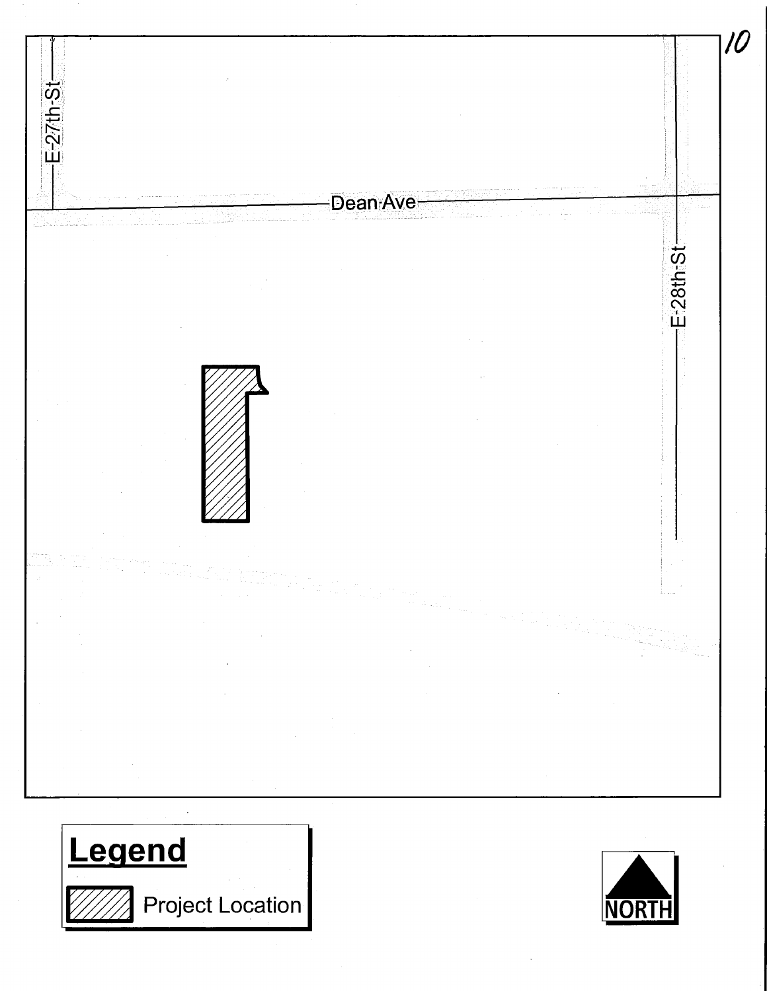



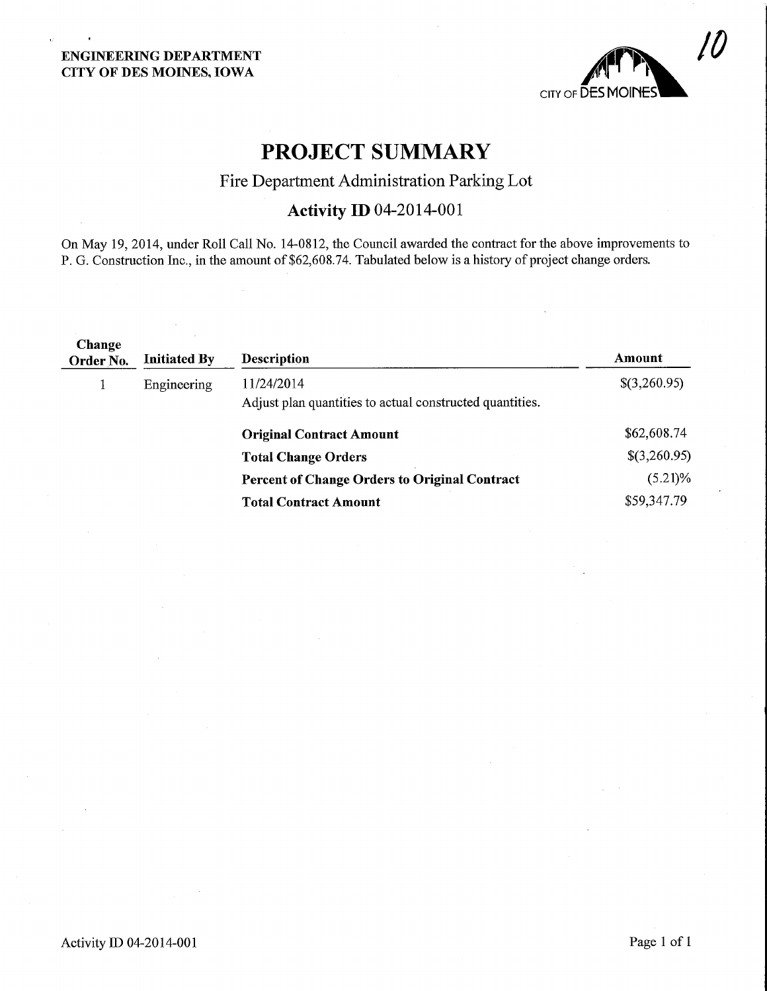

# PROJECT SUMMARY

## Fire Department Administration Parking Lot

## Activity ID 04-2014-001

On May 19, 2014, under Roll Call No. 14-0812, the Council awarded the contract for the above improvements to P. G. Construction Inc., in the amount of \$62,608.74. Tabulated below is a history of project change orders.

| Change<br>Order No. | <b>Initiated By</b> | <b>Description</b>                                                     | Amount       |
|---------------------|---------------------|------------------------------------------------------------------------|--------------|
|                     | Engineering         | 11/24/2014<br>Adjust plan quantities to actual constructed quantities. | \$(3,260.95) |
|                     |                     | <b>Original Contract Amount</b>                                        | \$62,608.74  |
|                     |                     | <b>Total Change Orders</b>                                             | \$(3,260.95) |
|                     |                     | <b>Percent of Change Orders to Original Contract</b>                   | $(5.21)\%$   |
|                     |                     | <b>Total Contract Amount</b>                                           | \$59,347.79  |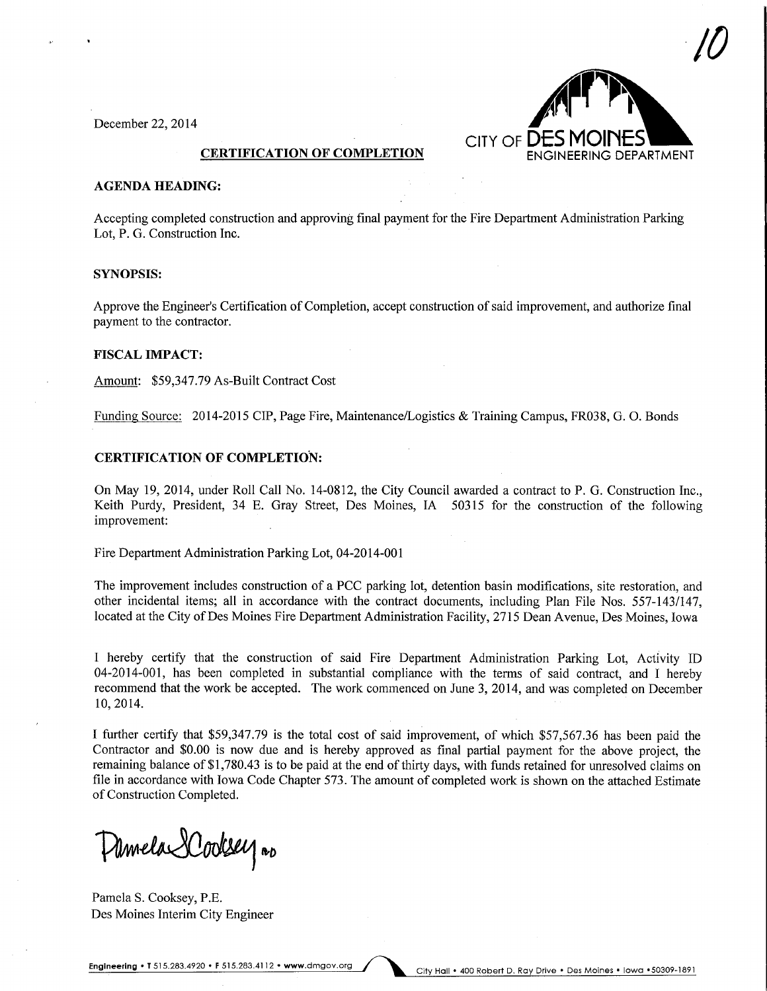December 22, 2014



#### AGENDA HEADING:

Accepting completed construction and approving final payment for the Fire Department Administration Parking Lot, P. G. Construction Inc.

#### SYNOPSIS:

Approve the Engineer's Certification of Completion, accept construction of said improvement, and authorize final payment to the contractor.

#### FISCAL IMPACT:

Amount: \$59,347.79 As-Built Contract Cost

Funding Source: 2014-2015 CIP, Page Fire, Maintenance/Logistics & Training Campus, FR038, G. 0. Bonds

#### CERTIFICATION OF COMPLETION:

On May 19, 2014, under Roll Call No. 14-0812, the City Council awarded a contract to P. G. Construction Inc., Keith Purdy, President, 34 E. Gray Street, Des Moines, IA 50315 for the construction of the following improvement:

Fire Department Administration Parking Lot, 04-2014-001

The improvement includes construction of a PCC parking lot, detention basin modifications, site restoration, and other incidental items; all in accordance with the contract documents, mcluding Plan File Nos. 557-143/147, located at the City of Des Moines Fire Department Administration Facility, 2715 Dean Avenue, Des Moines, Iowa

I hereby certify that the construction of said Fire Department Administration Parking Lot, Activity ID 04-2014-001, has been completed in substantial compliance with the terms of said contract, and I hereby recommend that the work be accepted. The work commenced on June 3, 2014, and was completed on December 10,2014.

I further certify that \$59,347.79 is the total cost of said improvement, of which \$57,567.36 has been paid the Contractor and \$0.00 is now due and is hereby approved as final partial payment for the above project, the remaining balance of \$1,780.43 is to be paid at the end of thirty days, with funds retained for unresolved claims on file in accordance with Iowa Code Chapter 573. The amount of completed work is shown on the attached Estimate of Construction Completed.

Pamela Dodsey no

Pamela S. Cooksey, P.E. Des Moines Interim City Engineer